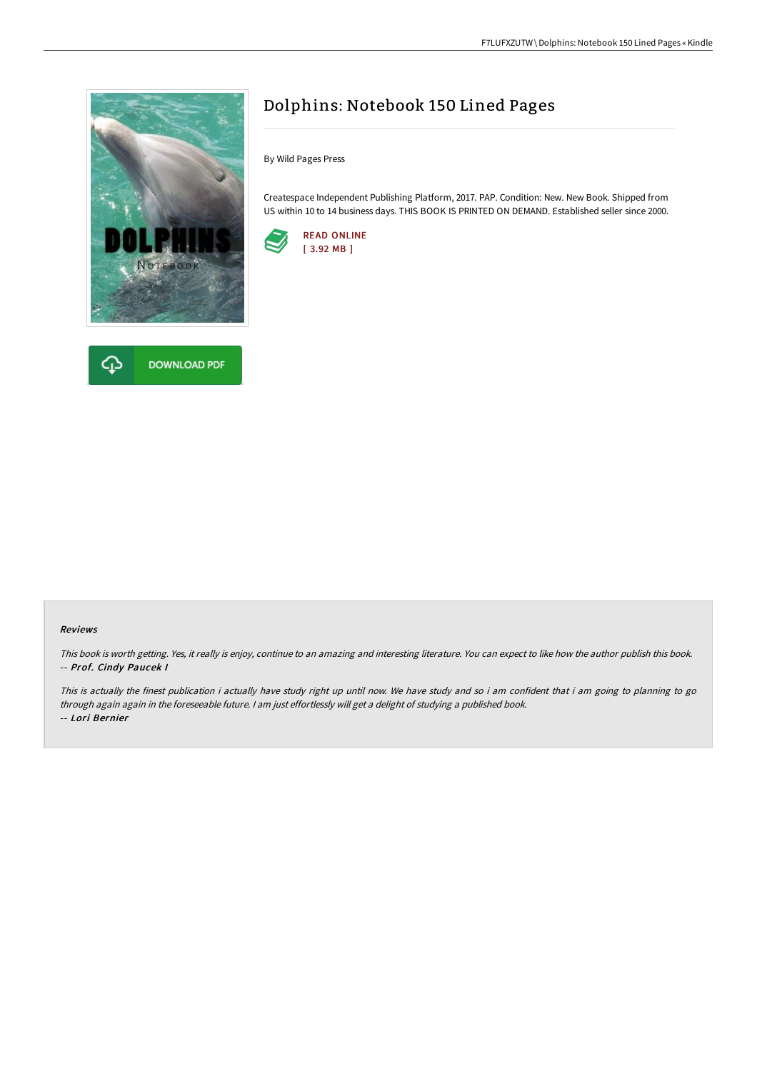



# Dolphins: Notebook 150 Lined Pages

By Wild Pages Press

Createspace Independent Publishing Platform, 2017. PAP. Condition: New. New Book. Shipped from US within 10 to 14 business days. THIS BOOK IS PRINTED ON DEMAND. Established seller since 2000.



#### Reviews

This book is worth getting. Yes, it really is enjoy, continue to an amazing and interesting literature. You can expect to like how the author publish this book. -- Prof. Cindy Paucek I

This is actually the finest publication i actually have study right up until now. We have study and so i am confident that i am going to planning to go through again again in the foreseeable future. <sup>I</sup> am just effortlessly will get <sup>a</sup> delight of studying <sup>a</sup> published book. -- Lori Bernier